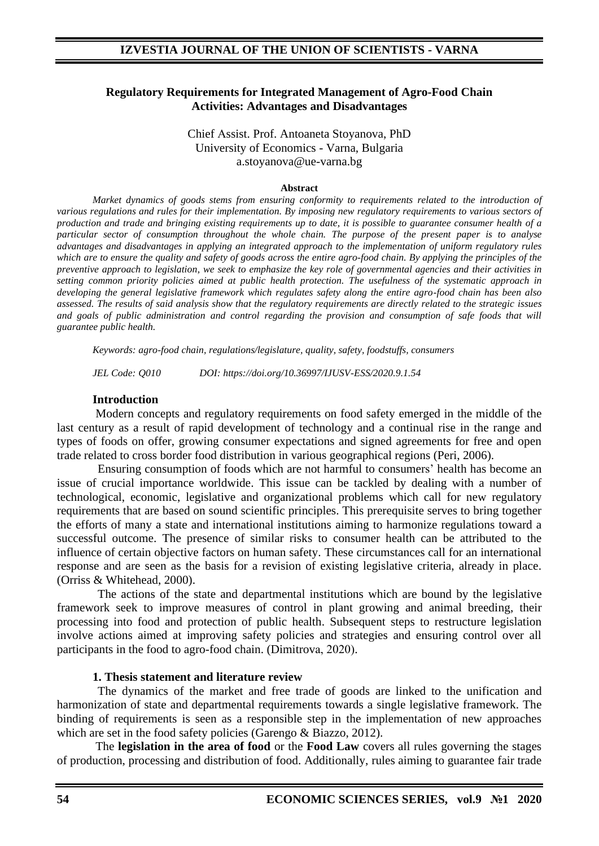## **Regulatory Requirements for Integrated Management of Agro-Food Chain Activities: Advantages and Disadvantages**

Chief Аssist. Prof. Antoaneta Stoyanova, PhD University of Economics - Varna, Bulgaria a.stoyanova@ue-varna.bg

#### **Abstract**

*Market dynamics of goods stems from ensuring conformity to requirements related to the introduction of various regulations and rules for their implementation. By imposing new regulatory requirements to various sectors of production and trade and bringing existing requirements up to date, it is possible to guarantee consumer health of a particular sector of consumption throughout the whole chain. The purpose of the present paper is to analyse advantages and disadvantages in applying an integrated approach to the implementation of uniform regulatory rules which are to ensure the quality and safety of goods across the entire agro-food chain. By applying the principles of the preventive approach to legislation, we seek to emphasize the key role of governmental agencies and their activities in setting common priority policies aimed at public health protection. The usefulness of the systematic approach in developing the general legislative framework which regulates safety along the entire agro-food chain has been also assessed. The results of said analysis show that the regulatory requirements are directly related to the strategic issues and goals of public administration and control regarding the provision and consumption of safe foods that will guarantee public health.* 

*Keywords: agro-food chain, regulations/legislature, quality, safety, foodstuffs, consumers*

*JEL Code: Q010 DOI: https://doi.org/10.36997/IJUSV-ESS/2020.9.1.54*

#### **Introduction**

Modern concepts and regulatory requirements on food safety emerged in the middle of the last century as a result of rapid development of technology and a continual rise in the range and types of foods on offer, growing consumer expectations and signed agreements for free and open trade related to cross border food distribution in various geographical regions (Peri, 2006).

Ensuring consumption of foods which are not harmful to consumers' health has become an issue of crucial importance worldwide. This issue can be tackled by dealing with a number of technological, economic, legislative and organizational problems which call for new regulatory requirements that are based on sound scientific principles. This prerequisite serves to bring together the efforts of many a state and international institutions aiming to harmonize regulations toward a successful outcome. The presence of similar risks to consumer health can be attributed to the influence of certain objective factors on human safety. These circumstances call for an international response and are seen as the basis for a revision of existing legislative criteria, already in place. (Orriss & Whitehead, 2000).

The actions of the state and departmental institutions which are bound by the legislative framework seek to improve measures of control in plant growing and animal breeding, their processing into food and protection of public health. Subsequent steps to restructure legislation involve actions aimed at improving safety policies and strategies and ensuring control over all participants in the food to agro-food chain. (Dimitrovа, 2020).

#### **1. Thesis statement and literature review**

The dynamics of the market and free trade of goods are linked to the unification and harmonization of state and departmental requirements towards a single legislative framework. The binding of requirements is seen as a responsible step in the implementation of new approaches which are set in the food safety policies (Garengo & Biazzo, 2012).

The **legislation in the area of food** or the **Food Law** covers all rules governing the stages of production, processing and distribution of food. Additionally, rules aiming to guarantee fair trade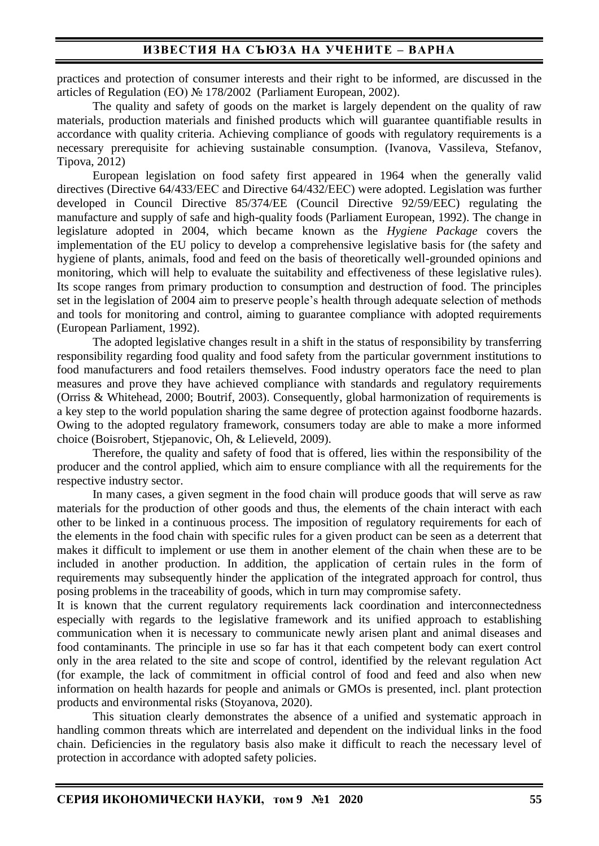practices and protection of consumer interests and their right to be informed, are discussed in the articles of Regulation (ЕО) № 178/2002 (Parliament European, 2002).

The quality and safety of goods on the market is largely dependent on the quality of raw materials, production materials and finished products which will guarantee quantifiable results in accordance with quality criteria. Achieving compliance of goods with regulatory requirements is a necessary prerequisite for achieving sustainable consumption. (Ivanova, Vassileva, Stefanov, Tipova, 2012)

European legislation on food safety first appeared in 1964 when the generally valid directives (Directive 64/433/ЕЕС and Directive 64/432/ЕЕС) were adopted. Legislation was further developed in Council Directive 85/374/EE (Council Directive 92/59/EEC) regulating the manufacture and supply of safe and high-quality foods (Parliament European, 1992). The change in legislature adopted in 2004, which became known as the *Hygiene Package* covers the implementation of the EU policy to develop a comprehensive legislative basis for (the safety and hygiene of plants, animals, food and feed on the basis of theoretically well-grounded opinions and monitoring, which will help to evaluate the suitability and effectiveness of these legislative rules). Its scope ranges from primary production to consumption and destruction of food. The principles set in the legislation of 2004 aim to preserve people's health through adequate selection of methods and tools for monitoring and control, aiming to guarantee compliance with adopted requirements (European Parliament, 1992).

The adopted legislative changes result in a shift in the status of responsibility by transferring responsibility regarding food quality and food safety from the particular government institutions to food manufacturers and food retailers themselves. Food industry operators face the need to plan measures and prove they have achieved compliance with standards and regulatory requirements (Orriss & Whitehead, 2000; Boutrif, 2003). Consequently, global harmonization of requirements is a key step to the world population sharing the same degree of protection against foodborne hazards. Owing to the adopted regulatory framework, consumers today are able to make a more informed choice (Boisrobert, Stjepanovic, Oh, & Lelieveld, 2009).

Therefore, the quality and safety of food that is offered, lies within the responsibility of the producer and the control applied, which aim to ensure compliance with all the requirements for the respective industry sector.

In many cases, a given segment in the food chain will produce goods that will serve as raw materials for the production of other goods and thus, the elements of the chain interact with each other to be linked in a continuous process. The imposition of regulatory requirements for each of the elements in the food chain with specific rules for a given product can be seen as a deterrent that makes it difficult to implement or use them in another element of the chain when these are to be included in another production. In addition, the application of certain rules in the form of requirements may subsequently hinder the application of the integrated approach for control, thus posing problems in the traceability of goods, which in turn may compromise safety.

It is known that the current regulatory requirements lack coordination and interconnectedness especially with regards to the legislative framework and its unified approach to establishing communication when it is necessary to communicate newly arisen plant and animal diseases and food contaminants. The principle in use so far has it that each competent body can exert control only in the area related to the site and scope of control, identified by the relevant regulation Act (for example, the lack of commitment in official control of food and feed and also when new information on health hazards for people and animals or GMOs is presented, incl. plant protection products and environmental risks (Stoyanova, 2020).

This situation clearly demonstrates the absence of a unified and systematic approach in handling common threats which are interrelated and dependent on the individual links in the food chain. Deficiencies in the regulatory basis also make it difficult to reach the necessary level of protection in accordance with adopted safety policies.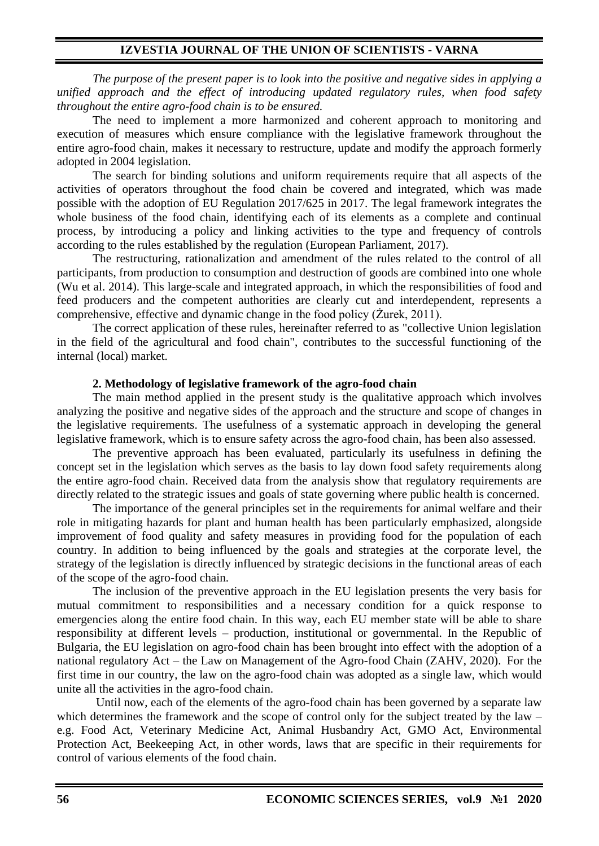## **IZVESTIA JOURNAL OF THE UNION OF SCIENTISTS - VARNA**

*The purpose of the present paper is to look into the positive and negative sides in applying a unified approach and the effect of introducing updated regulatory rules, when food safety throughout the entire agro-food chain is to be ensured.*

The need to implement a more harmonized and coherent approach to monitoring and execution of measures which ensure compliance with the legislative framework throughout the entire agro-food chain, makes it necessary to restructure, update and modify the approach formerly adopted in 2004 legislation.

The search for binding solutions and uniform requirements require that all aspects of the activities of operators throughout the food chain be covered and integrated, which was made possible with the adoption of EU Regulation 2017/625 in 2017. The legal framework integrates the whole business of the food chain, identifying each of its elements as a complete and continual process, by introducing a policy and linking activities to the type and frequency of controls according to the rules established by the regulation (European Parliament, 2017).

The restructuring, rationalization and amendment of the rules related to the control of all participants, from production to consumption and destruction of goods are combined into one whole (Wu et al. 2014). This large-scale and integrated approach, in which the responsibilities of food and feed producers and the competent authorities are clearly cut and interdependent, represents a comprehensive, effective and dynamic change in the food policy (Żurek, 2011).

The correct application of these rules, hereinafter referred to as "collective Union legislation in the field of the agricultural and food chain", contributes to the successful functioning of the internal (local) market.

#### **2. Methodology of legislative framework of the agro-food chain**

The main method applied in the present study is the qualitative approach which involves analyzing the positive and negative sides of the approach and the structure and scope of changes in the legislative requirements. The usefulness of a systematic approach in developing the general legislative framework, which is to ensure safety across the agro-food chain, has been also assessed.

The preventive approach has been evaluated, particularly its usefulness in defining the concept set in the legislation which serves as the basis to lay down food safety requirements along the entire agro-food chain. Received data from the analysis show that regulatory requirements are directly related to the strategic issues and goals of state governing where public health is concerned.

The importance of the general principles set in the requirements for animal welfare and their role in mitigating hazards for plant and human health has been particularly emphasized, alongside improvement of food quality and safety measures in providing food for the population of each country. In addition to being influenced by the goals and strategies at the corporate level, the strategy of the legislation is directly influenced by strategic decisions in the functional areas of each of the scope of the agro-food chain.

The inclusion of the preventive approach in the EU legislation presents the very basis for mutual commitment to responsibilities and a necessary condition for a quick response to emergencies along the entire food chain. In this way, each EU member state will be able to share responsibility at different levels – production, institutional or governmental. In the Republic of Bulgaria, the EU legislation on agro-food chain has been brought into effect with the adoption of a national regulatory Act – the Law on Management of the Agro-food Chain (ZAHV, 2020). For the first time in our country, the law on the agro-food chain was adopted as a single law, which would unite all the activities in the agro-food chain.

Until now, each of the elements of the agro-food chain has been governed by a separate law which determines the framework and the scope of control only for the subject treated by the law – e.g. Food Act, Veterinary Medicine Act, Animal Husbandry Act, GMO Act, Environmental Protection Act, Beekeeping Act, in other words, laws that are specific in their requirements for control of various elements of the food chain.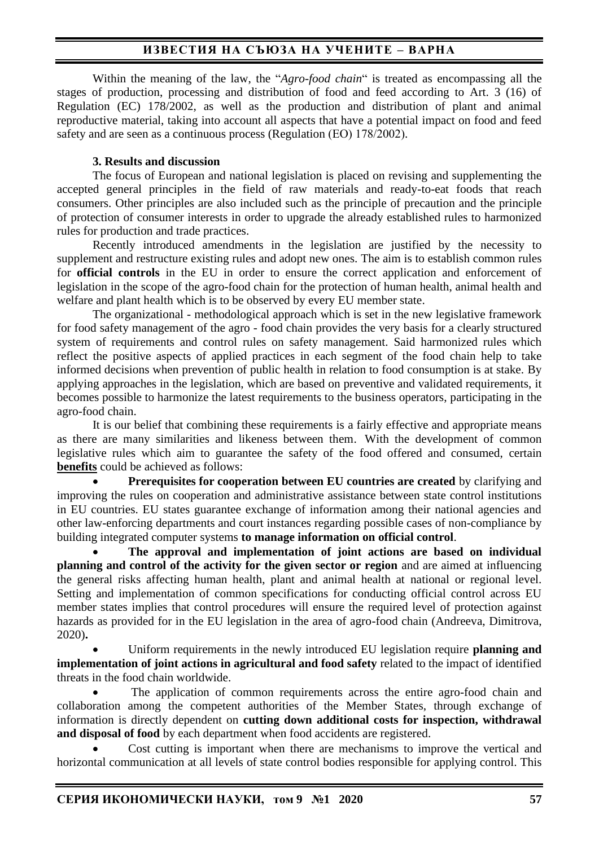# **ИЗВЕСТИЯ НА СЪЮЗА НА УЧЕНИТЕ – ВАРНА**

Within the meaning of the law, the "*Agro-food chain*" is treated as encompassing all the stages of production, processing and distribution of food and feed according to Art. 3 (16) of Regulation (EC) 178/2002, as well as the production and distribution of plant and animal reproductive material, taking into account all aspects that have a potential impact on food and feed safety and are seen as a continuous process (Regulation (ЕО) 178/2002).

## **3. Results and discussion**

The focus of European and national legislation is placed on revising and supplementing the accepted general principles in the field of raw materials and ready-to-eat foods that reach consumers. Other principles are also included such as the principle of precaution and the principle of protection of consumer interests in order to upgrade the already established rules to harmonized rules for production and trade practices.

Recently introduced amendments in the legislation are justified by the necessity to supplement and restructure existing rules and adopt new ones. The aim is to establish common rules for **official controls** in the EU in order to ensure the correct application and enforcement of legislation in the scope of the agro-food chain for the protection of human health, animal health and welfare and plant health which is to be observed by every EU member state.

The organizational - methodological approach which is set in the new legislative framework for food safety management of the agro - food chain provides the very basis for a clearly structured system of requirements and control rules on safety management. Said harmonized rules which reflect the positive aspects of applied practices in each segment of the food chain help to take informed decisions when prevention of public health in relation to food consumption is at stake. By applying approaches in the legislation, which are based on preventive and validated requirements, it becomes possible to harmonize the latest requirements to the business operators, participating in the agro-food chain.

It is our belief that combining these requirements is a fairly effective and appropriate means as there are many similarities and likeness between them. With the development of common legislative rules which aim to guarantee the safety of the food offered and consumed, certain **benefits** could be achieved as follows:

• **Prerequisites for cooperation between EU countries are created** by clarifying and improving the rules on cooperation and administrative assistance between state control institutions in EU countries. EU states guarantee exchange of information among their national agencies and other law-enforcing departments and court instances regarding possible cases of non-compliance by building integrated computer systems **to manage information on official control**.

• **The approval and implementation of joint actions are based on individual planning and control of the activity for the given sector or region** and are aimed at influencing the general risks affecting human health, plant and animal health at national or regional level. Setting and implementation of common specifications for conducting official control across EU member states implies that control procedures will ensure the required level of protection against hazards as provided for in the EU legislation in the area of agro-food chain (Andreeva, Dimitrova, 2020)**.** 

• Uniform requirements in the newly introduced EU legislation require **planning and implementation of joint actions in agricultural and food safety** related to the impact of identified threats in the food chain worldwide.

The application of common requirements across the entire agro-food chain and collaboration among the competent authorities of the Member States, through exchange of information is directly dependent on **cutting down additional costs for inspection, withdrawal and disposal of food** by each department when food accidents are registered.

• Cost cutting is important when there are mechanisms to improve the vertical and horizontal communication at all levels of state control bodies responsible for applying control. This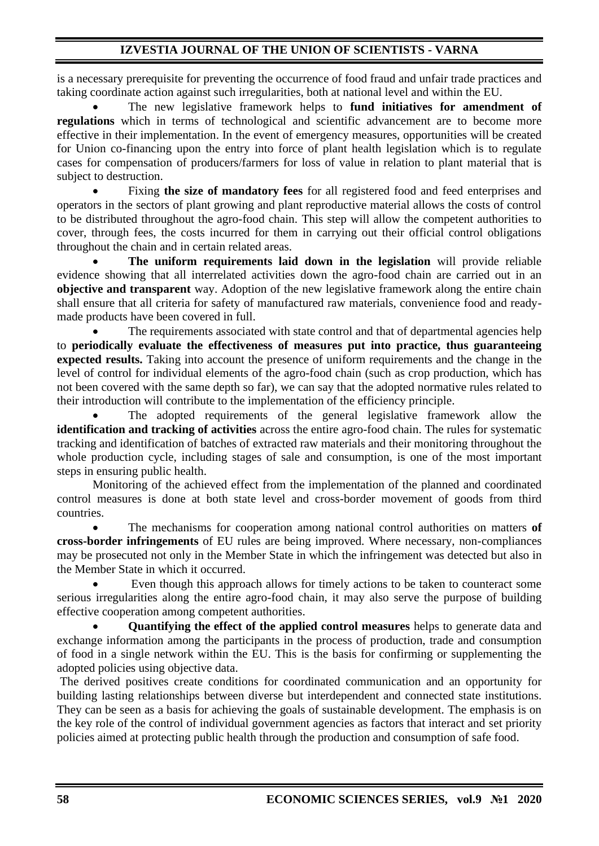# **IZVESTIA JOURNAL OF THE UNION OF SCIENTISTS - VARNA**

is a necessary prerequisite for preventing the occurrence of food fraud and unfair trade practices and taking coordinate action against such irregularities, both at national level and within the EU.

• The new legislative framework helps to **fund initiatives for amendment of regulations** which in terms of technological and scientific advancement are to become more effective in their implementation. In the event of emergency measures, opportunities will be created for Union co-financing upon the entry into force of plant health legislation which is to regulate cases for compensation of producers/farmers for loss of value in relation to plant material that is subject to destruction.

• Fixing **the size of mandatory fees** for all registered food and feed enterprises and operators in the sectors of plant growing and plant reproductive material allows the costs of control to be distributed throughout the agro-food chain. This step will allow the competent authorities to cover, through fees, the costs incurred for them in carrying out their official control obligations throughout the chain and in certain related areas.

• **The uniform requirements laid down in the legislation** will provide reliable evidence showing that all interrelated activities down the agro-food chain are carried out in an **objective and transparent** way. Adoption of the new legislative framework along the entire chain shall ensure that all criteria for safety of manufactured raw materials, convenience food and readymade products have been covered in full.

The requirements associated with state control and that of departmental agencies help to **periodically evaluate the effectiveness of measures put into practice, thus guaranteeing expected results.** Taking into account the presence of uniform requirements and the change in the level of control for individual elements of the agro-food chain (such as crop production, which has not been covered with the same depth so far), we can say that the adopted normative rules related to their introduction will contribute to the implementation of the efficiency principle.

The adopted requirements of the general legislative framework allow the **identification and tracking of activities** across the entire agro-food chain. The rules for systematic tracking and identification of batches of extracted raw materials and their monitoring throughout the whole production cycle, including stages of sale and consumption, is one of the most important steps in ensuring public health.

Monitoring of the achieved effect from the implementation of the planned and coordinated control measures is done at both state level and cross-border movement of goods from third countries.

• The mechanisms for cooperation among national control authorities on matters **of cross-border infringements** of EU rules are being improved. Where necessary, non-compliances may be prosecuted not only in the Member State in which the infringement was detected but also in the Member State in which it occurred.

Even though this approach allows for timely actions to be taken to counteract some serious irregularities along the entire agro-food chain, it may also serve the purpose of building effective cooperation among competent authorities.

• **Quantifying the effect of the applied control measures** helps to generate data and exchange information among the participants in the process of production, trade and consumption of food in a single network within the EU. This is the basis for confirming or supplementing the adopted policies using objective data.

The derived positives create conditions for coordinated communication and an opportunity for building lasting relationships between diverse but interdependent and connected state institutions. They can be seen as a basis for achieving the goals of sustainable development. The emphasis is on the key role of the control of individual government agencies as factors that interact and set priority policies aimed at protecting public health through the production and consumption of safe food.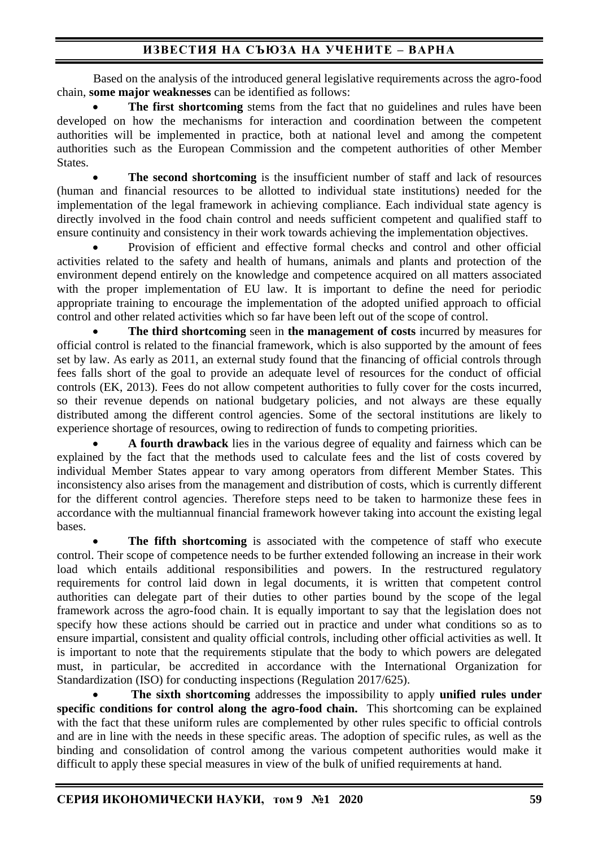# **ИЗВЕСТИЯ НА СЪЮЗА НА УЧЕНИТЕ – ВАРНА**

Based on the analysis of the introduced general legislative requirements across the agro-food chain, **some major weaknesses** can be identified as follows:

**The first shortcoming** stems from the fact that no guidelines and rules have been developed on how the mechanisms for interaction and coordination between the competent authorities will be implemented in practice, both at national level and among the competent authorities such as the European Commission and the competent authorities of other Member States.

**The second shortcoming** is the insufficient number of staff and lack of resources (human and financial resources to be allotted to individual state institutions) needed for the implementation of the legal framework in achieving compliance. Each individual state agency is directly involved in the food chain control and needs sufficient competent and qualified staff to ensure continuity and consistency in their work towards achieving the implementation objectives.

• Provision of efficient and effective formal checks and control and other official activities related to the safety and health of humans, animals and plants and protection of the environment depend entirely on the knowledge and competence acquired on all matters associated with the proper implementation of EU law. It is important to define the need for periodic appropriate training to encourage the implementation of the adopted unified approach to official control and other related activities which so far have been left out of the scope of control.

• **The third shortcoming** seen in **the management of costs** incurred by measures for official control is related to the financial framework, which is also supported by the amount of fees set by law. As early as 2011, an external study found that the financing of official controls through fees falls short of the goal to provide an adequate level of resources for the conduct of official controls (EK, 2013). Fees do not allow competent authorities to fully cover for the costs incurred, so their revenue depends on national budgetary policies, and not always are these equally distributed among the different control agencies. Some of the sectoral institutions are likely to experience shortage of resources, owing to redirection of funds to competing priorities.

• **A fourth drawback** lies in the various degree of equality and fairness which can be explained by the fact that the methods used to calculate fees and the list of costs covered by individual Member States appear to vary among operators from different Member States. This inconsistency also arises from the management and distribution of costs, which is currently different for the different control agencies. Therefore steps need to be taken to harmonize these fees in accordance with the multiannual financial framework however taking into account the existing legal bases.

**The fifth shortcoming** is associated with the competence of staff who execute control. Their scope of competence needs to be further extended following an increase in their work load which entails additional responsibilities and powers. In the restructured regulatory requirements for control laid down in legal documents, it is written that competent control authorities can delegate part of their duties to other parties bound by the scope of the legal framework across the agro-food chain. It is equally important to say that the legislation does not specify how these actions should be carried out in practice and under what conditions so as to ensure impartial, consistent and quality official controls, including other official activities as well. It is important to note that the requirements stipulate that the body to which powers are delegated must, in particular, be accredited in accordance with the International Organization for Standardization (ISO) for conducting inspections (Regulation 2017/625).

• **The sixth shortcoming** addresses the impossibility to apply **unified rules under specific conditions for control along the agro-food chain.** This shortcoming can be explained with the fact that these uniform rules are complemented by other rules specific to official controls and are in line with the needs in these specific areas. The adoption of specific rules, as well as the binding and consolidation of control among the various competent authorities would make it difficult to apply these special measures in view of the bulk of unified requirements at hand.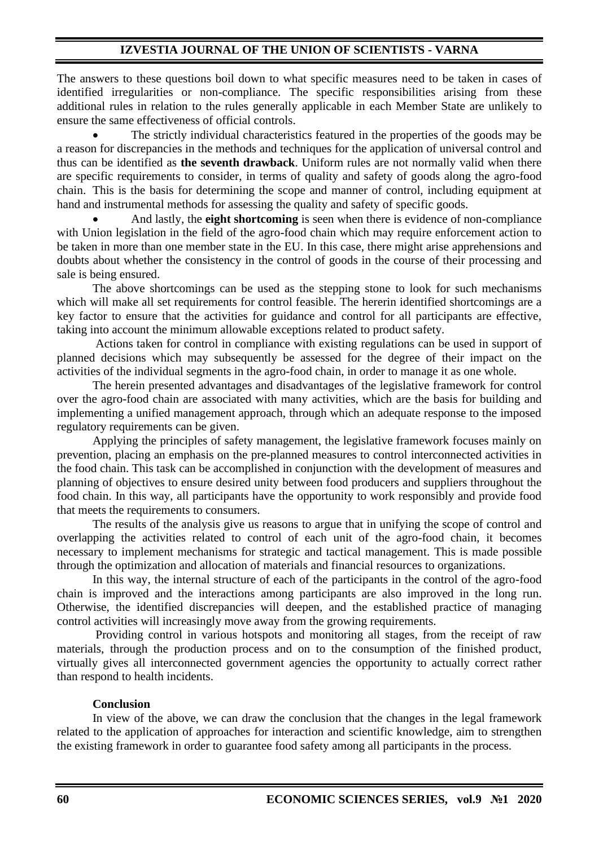The answers to these questions boil down to what specific measures need to be taken in cases of identified irregularities or non-compliance. The specific responsibilities arising from these additional rules in relation to the rules generally applicable in each Member State are unlikely to ensure the same effectiveness of official controls.

The strictly individual characteristics featured in the properties of the goods may be a reason for discrepancies in the methods and techniques for the application of universal control and thus can be identified as **the seventh drawback**. Uniform rules are not normally valid when there are specific requirements to consider, in terms of quality and safety of goods along the agro-food chain. This is the basis for determining the scope and manner of control, including equipment at hand and instrumental methods for assessing the quality and safety of specific goods.

• And lastly, the **eight shortcoming** is seen when there is evidence of non-compliance with Union legislation in the field of the agro-food chain which may require enforcement action to be taken in more than one member state in the EU. In this case, there might arise apprehensions and doubts about whether the consistency in the control of goods in the course of their processing and sale is being ensured.

The above shortcomings can be used as the stepping stone to look for such mechanisms which will make all set requirements for control feasible. The hererin identified shortcomings are a key factor to ensure that the activities for guidance and control for all participants are effective, taking into account the minimum allowable exceptions related to product safety.

Actions taken for control in compliance with existing regulations can be used in support of planned decisions which may subsequently be assessed for the degree of their impact on the activities of the individual segments in the agro-food chain, in order to manage it as one whole.

The herein presented advantages and disadvantages of the legislative framework for control over the agro-food chain are associated with many activities, which are the basis for building and implementing a unified management approach, through which an adequate response to the imposed regulatory requirements can be given.

Applying the principles of safety management, the legislative framework focuses mainly on prevention, placing an emphasis on the pre-planned measures to control interconnected activities in the food chain. This task can be accomplished in conjunction with the development of measures and planning of objectives to ensure desired unity between food producers and suppliers throughout the food chain. In this way, all participants have the opportunity to work responsibly and provide food that meets the requirements to consumers.

The results of the analysis give us reasons to argue that in unifying the scope of control and overlapping the activities related to control of each unit of the agro-food chain, it becomes necessary to implement mechanisms for strategic and tactical management. This is made possible through the optimization and allocation of materials and financial resources to organizations.

In this way, the internal structure of each of the participants in the control of the agro-food chain is improved and the interactions among participants are also improved in the long run. Otherwise, the identified discrepancies will deepen, and the established practice of managing control activities will increasingly move away from the growing requirements.

Providing control in various hotspots and monitoring all stages, from the receipt of raw materials, through the production process and on to the consumption of the finished product, virtually gives all interconnected government agencies the opportunity to actually correct rather than respond to health incidents.

## **Conclusion**

In view of the above, we can draw the conclusion that the changes in the legal framework related to the application of approaches for interaction and scientific knowledge, aim to strengthen the existing framework in order to guarantee food safety among all participants in the process.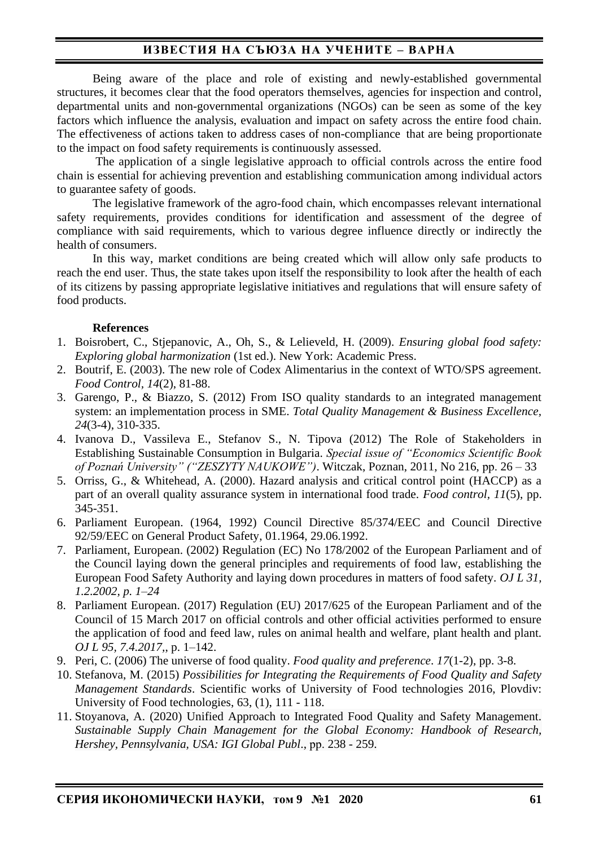# **ИЗВЕСТИЯ НА СЪЮЗА НА УЧЕНИТЕ – ВАРНА**

Being aware of the place and role of existing and newly-established governmental structures, it becomes clear that the food operators themselves, agencies for inspection and control, departmental units and non-governmental organizations (NGOs) can be seen as some of the key factors which influence the analysis, evaluation and impact on safety across the entire food chain. The effectiveness of actions taken to address cases of non-compliance that are being proportionate to the impact on food safety requirements is continuously assessed.

The application of a single legislative approach to official controls across the entire food chain is essential for achieving prevention and establishing communication among individual actors to guarantee safety of goods.

The legislative framework of the agro-food chain, which encompasses relevant international safety requirements, provides conditions for identification and assessment of the degree of compliance with said requirements, which to various degree influence directly or indirectly the health of consumers.

In this way, market conditions are being created which will allow only safe products to reach the end user. Thus, the state takes upon itself the responsibility to look after the health of each of its citizens by passing appropriate legislative initiatives and regulations that will ensure safety of food products.

## **References**

- 1. Boisrobert, C., Stjepanovic, A., Oh, S., & Lelieveld, H. (2009). *Ensuring global food safety: Exploring global harmonization* (1st ed.). New York: Academic Press.
- 2. Boutrif, E. (2003). The new role of Codex Alimentarius in the context of WTO/SPS agreement. *Food Control, 14*(2), 81-88.
- 3. Garengo, P., & Biazzo, S. (2012) From ISO quality standards to an integrated management system: an implementation process in SME. *Total Quality Management & Business Excellence, 24*(3-4), 310-335.
- 4. Ivanova D., Vassileva E., Stefanov S., N. Tipova (2012) The Role of Stakeholders in Establishing Sustainable Consumption in Bulgaria. *Special issue of "Economics Scientific Book of Poznań University" ("ZESZYTY NAUKOWE")*. Witczak, Poznan, 2011, No 216, рр. 26 – 33
- 5. Orriss, G., & Whitehead, A. (2000). Hazard analysis and critical control point (HACCP) as a part of an overall quality assurance system in international food trade. *Food control, 11*(5), pp. 345-351.
- 6. Parliament European. (1964, 1992) Council Directive 85/374/EEC and Council Directive 92/59/EEC on General Product Safety, 01.1964, 29.06.1992.
- 7. Parliament, European. (2002) Regulation (EC) No 178/2002 of the European Parliament and of the Council laying down the general principles and requirements of food law, establishing the European Food Safety Authority and laying down procedures in matters of food safety. *OJ L 31, 1.2.2002, p. 1–24*
- 8. Рarliament European. (2017) Regulation (EU) 2017/625 of the European Parliament and of the Council of 15 March 2017 on official controls and other official activities performed to ensure the application of food and feed law, rules on animal health and welfare, plant health and plant. *OJ L 95, 7.4.2017,*, p. 1–142.
- 9. Peri, C. (2006) The universe of food quality. *Food quality and preference*. *17*(1-2), pp. 3-8.
- 10. Stefanova, M. (2015) *Possibilities for Integrating the Requirements of Food Quality and Safety Management Standards*. Scientific works of University of Food technologies 2016, Plovdiv: University of Food technologies, 63, (1), 111 - 118.
- 11. Stoyanova, A. (2020) Unified Approach to Integrated Food Quality and Safety Management. *Sustainable Supply Chain Management for the Global Economy: Handbook of Research, Hershey, Pennsylvania, USA: IGI Global Publ*., рр. 238 - 259.